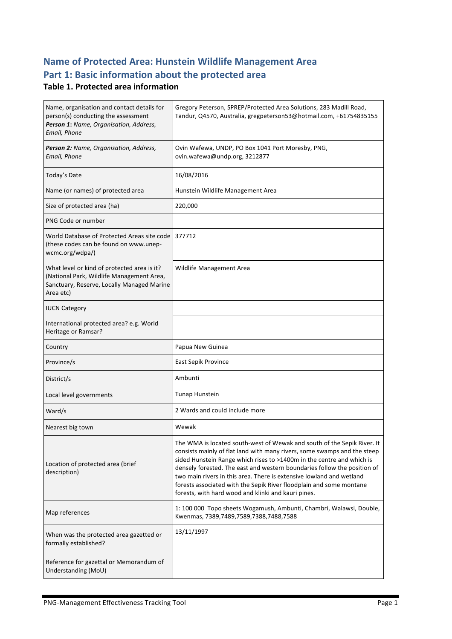# **Name of Protected Area: Hunstein Wildlife Management Area** Part 1: Basic information about the protected area

#### **Table 1. Protected area information**

| Name, organisation and contact details for<br>person(s) conducting the assessment<br>Person 1: Name, Organisation, Address,<br>Email, Phone         | Gregory Peterson, SPREP/Protected Area Solutions, 283 Madill Road,<br>Tandur, Q4570, Australia, gregpeterson53@hotmail.com, +61754835155                                                                                                                                                                                                                                                                                                                                                                       |
|-----------------------------------------------------------------------------------------------------------------------------------------------------|----------------------------------------------------------------------------------------------------------------------------------------------------------------------------------------------------------------------------------------------------------------------------------------------------------------------------------------------------------------------------------------------------------------------------------------------------------------------------------------------------------------|
| Person 2: Name, Organisation, Address,<br>Email, Phone                                                                                              | Ovin Wafewa, UNDP, PO Box 1041 Port Moresby, PNG,<br>ovin.wafewa@undp.org, 3212877                                                                                                                                                                                                                                                                                                                                                                                                                             |
| Today's Date                                                                                                                                        | 16/08/2016                                                                                                                                                                                                                                                                                                                                                                                                                                                                                                     |
| Name (or names) of protected area                                                                                                                   | Hunstein Wildlife Management Area                                                                                                                                                                                                                                                                                                                                                                                                                                                                              |
| Size of protected area (ha)                                                                                                                         | 220,000                                                                                                                                                                                                                                                                                                                                                                                                                                                                                                        |
| PNG Code or number                                                                                                                                  |                                                                                                                                                                                                                                                                                                                                                                                                                                                                                                                |
| World Database of Protected Areas site code 1377712<br>(these codes can be found on www.unep-<br>wcmc.org/wdpa/)                                    |                                                                                                                                                                                                                                                                                                                                                                                                                                                                                                                |
| What level or kind of protected area is it?<br>(National Park, Wildlife Management Area,<br>Sanctuary, Reserve, Locally Managed Marine<br>Area etc) | Wildlife Management Area                                                                                                                                                                                                                                                                                                                                                                                                                                                                                       |
| <b>IUCN Category</b>                                                                                                                                |                                                                                                                                                                                                                                                                                                                                                                                                                                                                                                                |
| International protected area? e.g. World<br>Heritage or Ramsar?                                                                                     |                                                                                                                                                                                                                                                                                                                                                                                                                                                                                                                |
|                                                                                                                                                     |                                                                                                                                                                                                                                                                                                                                                                                                                                                                                                                |
| Country                                                                                                                                             | Papua New Guinea                                                                                                                                                                                                                                                                                                                                                                                                                                                                                               |
| Province/s                                                                                                                                          | East Sepik Province                                                                                                                                                                                                                                                                                                                                                                                                                                                                                            |
| District/s                                                                                                                                          | Ambunti                                                                                                                                                                                                                                                                                                                                                                                                                                                                                                        |
| Local level governments                                                                                                                             | Tunap Hunstein                                                                                                                                                                                                                                                                                                                                                                                                                                                                                                 |
| Ward/s                                                                                                                                              | 2 Wards and could include more                                                                                                                                                                                                                                                                                                                                                                                                                                                                                 |
| Nearest big town                                                                                                                                    | Wewak                                                                                                                                                                                                                                                                                                                                                                                                                                                                                                          |
| Location of protected area (brief<br>description)                                                                                                   | The WMA is located south-west of Wewak and south of the Sepik River. It<br>consists mainly of flat land with many rivers, some swamps and the steep<br>sided Hunstein Range which rises to >1400m in the centre and which is<br>densely forested. The east and western boundaries follow the position of<br>two main rivers in this area. There is extensive lowland and wetland<br>forests associated with the Sepik River floodplain and some montane<br>forests, with hard wood and klinki and kauri pines. |
| Map references                                                                                                                                      | 1: 100 000 Topo sheets Wogamush, Ambunti, Chambri, Walawsi, Double,<br>Kwenmas, 7389,7489,7589,7388,7488,7588                                                                                                                                                                                                                                                                                                                                                                                                  |
| When was the protected area gazetted or<br>formally established?                                                                                    | 13/11/1997                                                                                                                                                                                                                                                                                                                                                                                                                                                                                                     |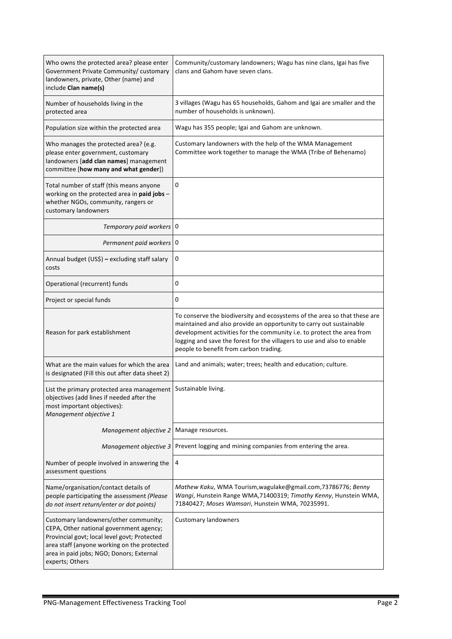| Who owns the protected area? please enter<br>Government Private Community/ customary<br>landowners, private, Other (name) and<br>include Clan name(s)                                                                                          | Community/customary landowners; Wagu has nine clans, Igai has five<br>clans and Gahom have seven clans.                                                                                                                                                                                                                                         |  |
|------------------------------------------------------------------------------------------------------------------------------------------------------------------------------------------------------------------------------------------------|-------------------------------------------------------------------------------------------------------------------------------------------------------------------------------------------------------------------------------------------------------------------------------------------------------------------------------------------------|--|
| Number of households living in the<br>protected area                                                                                                                                                                                           | 3 villages (Wagu has 65 households, Gahom and Igai are smaller and the<br>number of households is unknown).                                                                                                                                                                                                                                     |  |
| Population size within the protected area                                                                                                                                                                                                      | Wagu has 355 people; Igai and Gahom are unknown.                                                                                                                                                                                                                                                                                                |  |
| Who manages the protected area? (e.g.<br>please enter government, customary<br>landowners [add clan names] management<br>committee [how many and what gender])                                                                                 | Customary landowners with the help of the WMA Management<br>Committee work together to manage the WMA (Tribe of Behenamo)                                                                                                                                                                                                                       |  |
| Total number of staff (this means anyone<br>working on the protected area in paid jobs -<br>whether NGOs, community, rangers or<br>customary landowners                                                                                        | 0                                                                                                                                                                                                                                                                                                                                               |  |
| Temporary paid workers 0                                                                                                                                                                                                                       |                                                                                                                                                                                                                                                                                                                                                 |  |
| Permanent paid workers 0                                                                                                                                                                                                                       |                                                                                                                                                                                                                                                                                                                                                 |  |
| Annual budget (US\$) - excluding staff salary<br>costs                                                                                                                                                                                         | 0                                                                                                                                                                                                                                                                                                                                               |  |
| Operational (recurrent) funds                                                                                                                                                                                                                  | 0                                                                                                                                                                                                                                                                                                                                               |  |
| Project or special funds                                                                                                                                                                                                                       | 0                                                                                                                                                                                                                                                                                                                                               |  |
| Reason for park establishment                                                                                                                                                                                                                  | To conserve the biodiversity and ecosystems of the area so that these are<br>maintained and also provide an opportunity to carry out sustainable<br>development activities for the community i.e. to protect the area from<br>logging and save the forest for the villagers to use and also to enable<br>people to benefit from carbon trading. |  |
| What are the main values for which the area<br>is designated (Fill this out after data sheet 2)                                                                                                                                                | Land and animals; water; trees; health and education; culture.                                                                                                                                                                                                                                                                                  |  |
| List the primary protected area management   Sustainable living.<br>objectives (add lines if needed after the<br>most important objectives):<br>Management objective 1                                                                         |                                                                                                                                                                                                                                                                                                                                                 |  |
| Management objective 2                                                                                                                                                                                                                         | Manage resources.                                                                                                                                                                                                                                                                                                                               |  |
| Management objective 3                                                                                                                                                                                                                         | Prevent logging and mining companies from entering the area.                                                                                                                                                                                                                                                                                    |  |
| Number of people involved in answering the<br>assessment questions                                                                                                                                                                             | 4                                                                                                                                                                                                                                                                                                                                               |  |
| Name/organisation/contact details of<br>people participating the assessment (Please<br>do not insert return/enter or dot points)                                                                                                               | Mathew Kaku, WMA Tourism, wagulake@gmail.com, 73786776; Benny<br>Wangi, Hunstein Range WMA, 71400319; Timothy Kenny, Hunstein WMA,<br>71840427; Moses Wamsari, Hunstein WMA, 70235991.                                                                                                                                                          |  |
| Customary landowners/other community;<br>CEPA, Other national government agency;<br>Provincial govt; local level govt; Protected<br>area staff (anyone working on the protected<br>area in paid jobs; NGO; Donors; External<br>experts; Others | <b>Customary landowners</b>                                                                                                                                                                                                                                                                                                                     |  |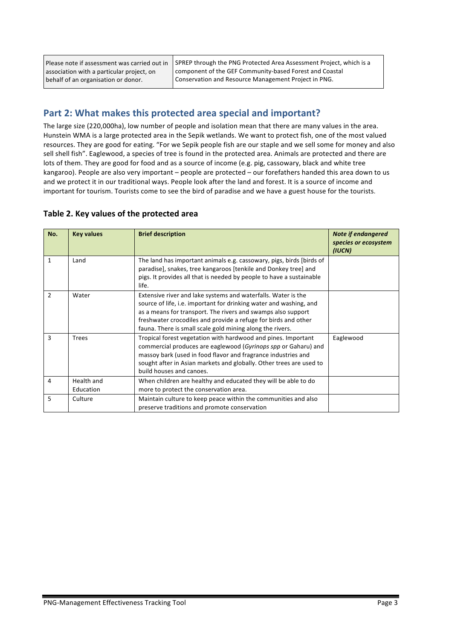Please note if assessment was carried out in association with a particular project, on behalf of an organisation or donor.

SPREP through the PNG Protected Area Assessment Project, which is a component of the GEF Community-based Forest and Coastal Conservation and Resource Management Project in PNG.

## Part 2: What makes this protected area special and important?

The large size (220,000ha), low number of people and isolation mean that there are many values in the area. Hunstein WMA is a large protected area in the Sepik wetlands. We want to protect fish, one of the most valued resources. They are good for eating. "For we Sepik people fish are our staple and we sell some for money and also sell shell fish". Eaglewood, a species of tree is found in the protected area. Animals are protected and there are lots of them. They are good for food and as a source of income (e.g. pig, cassowary, black and white tree kangaroo). People are also very important – people are protected – our forefathers handed this area down to us and we protect it in our traditional ways. People look after the land and forest. It is a source of income and important for tourism. Tourists come to see the bird of paradise and we have a guest house for the tourists.

#### Table 2. Key values of the protected area

| No.          | <b>Key values</b>       | <b>Brief description</b>                                                                                                                                                                                                                                                                                                           | <b>Note if endangered</b><br>species or ecosystem<br>(IUCN) |
|--------------|-------------------------|------------------------------------------------------------------------------------------------------------------------------------------------------------------------------------------------------------------------------------------------------------------------------------------------------------------------------------|-------------------------------------------------------------|
| $\mathbf{1}$ | Land                    | The land has important animals e.g. cassowary, pigs, birds [birds of<br>paradise], snakes, tree kangaroos [tenkile and Donkey tree] and<br>pigs. It provides all that is needed by people to have a sustainable<br>life.                                                                                                           |                                                             |
| 2            | Water                   | Extensive river and lake systems and waterfalls. Water is the<br>source of life, i.e. important for drinking water and washing, and<br>as a means for transport. The rivers and swamps also support<br>freshwater crocodiles and provide a refuge for birds and other<br>fauna. There is small scale gold mining along the rivers. |                                                             |
| 3            | <b>Trees</b>            | Tropical forest vegetation with hardwood and pines. Important<br>commercial produces are eaglewood (Gyrinops spp or Gaharu) and<br>massoy bark (used in food flavor and fragrance industries and<br>sought after in Asian markets and globally. Other trees are used to<br>build houses and canoes.                                | Eaglewood                                                   |
| 4            | Health and<br>Education | When children are healthy and educated they will be able to do<br>more to protect the conservation area.                                                                                                                                                                                                                           |                                                             |
| 5            | Culture                 | Maintain culture to keep peace within the communities and also<br>preserve traditions and promote conservation                                                                                                                                                                                                                     |                                                             |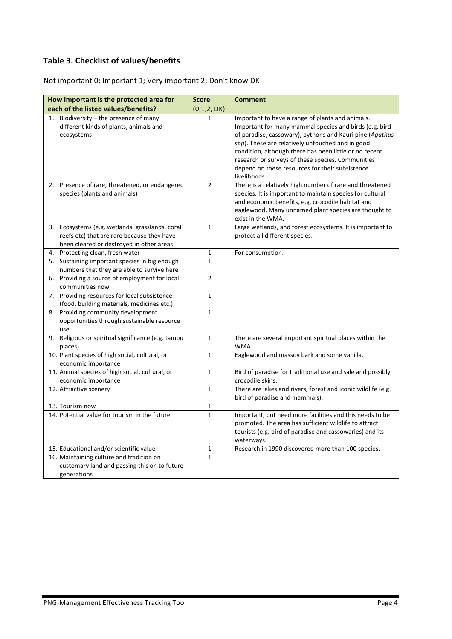### **Table 3. Checklist of values/benefits**

Not important 0; Important 1; Very important 2; Don't know DK

| How important is the protected area for                                                                                                   | <b>Score</b>   | <b>Comment</b>                                                                                                                                                                                                                                                                                                                                                                                               |
|-------------------------------------------------------------------------------------------------------------------------------------------|----------------|--------------------------------------------------------------------------------------------------------------------------------------------------------------------------------------------------------------------------------------------------------------------------------------------------------------------------------------------------------------------------------------------------------------|
| each of the listed values/benefits?                                                                                                       | (0,1,2,DK)     |                                                                                                                                                                                                                                                                                                                                                                                                              |
| 1. Biodiversity - the presence of many<br>different kinds of plants, animals and<br>ecosystems                                            | $\mathbf{1}$   | Important to have a range of plants and animals.<br>Important for many mammal species and birds (e.g. bird<br>of paradise, cassowary), pythons and Kauri pine (Agathus<br>spp). These are relatively untouched and in good<br>condition, although there has been little or no recent<br>research or surveys of these species. Communities<br>depend on these resources for their subsistence<br>livelihoods. |
| 2. Presence of rare, threatened, or endangered<br>species (plants and animals)                                                            | $\mathfrak{p}$ | There is a relatively high number of rare and threatened<br>species. It is important to maintain species for cultural<br>and economic benefits, e.g. crocodile habitat and<br>eaglewood. Many unnamed plant species are thought to<br>exist in the WMA.                                                                                                                                                      |
| 3. Ecosystems (e.g. wetlands, grasslands, coral<br>reefs etc) that are rare because they have<br>been cleared or destroyed in other areas | $\mathbf{1}$   | Large wetlands, and forest ecosystems. It is important to<br>protect all different species.                                                                                                                                                                                                                                                                                                                  |
| 4. Protecting clean, fresh water                                                                                                          | $\mathbf{1}$   | For consumption.                                                                                                                                                                                                                                                                                                                                                                                             |
| 5. Sustaining important species in big enough<br>numbers that they are able to survive here                                               | $\mathbf{1}$   |                                                                                                                                                                                                                                                                                                                                                                                                              |
| 6. Providing a source of employment for local<br>communities now                                                                          | $\overline{2}$ |                                                                                                                                                                                                                                                                                                                                                                                                              |
| 7. Providing resources for local subsistence<br>(food, building materials, medicines etc.)                                                | $\mathbf{1}$   |                                                                                                                                                                                                                                                                                                                                                                                                              |
| 8. Providing community development<br>opportunities through sustainable resource<br>use                                                   | $\mathbf{1}$   |                                                                                                                                                                                                                                                                                                                                                                                                              |
| 9. Religious or spiritual significance (e.g. tambu<br>places)                                                                             | $\mathbf{1}$   | There are several important spiritual places within the<br>WMA.                                                                                                                                                                                                                                                                                                                                              |
| 10. Plant species of high social, cultural, or<br>economic importance                                                                     | $\mathbf{1}$   | Eaglewood and massoy bark and some vanilla.                                                                                                                                                                                                                                                                                                                                                                  |
| 11. Animal species of high social, cultural, or<br>economic importance                                                                    | $\mathbf{1}$   | Bird of paradise for traditional use and sale and possibly<br>crocodile skins.                                                                                                                                                                                                                                                                                                                               |
| 12. Attractive scenery                                                                                                                    | $\mathbf{1}$   | There are lakes and rivers, forest and iconic wildlife (e.g.<br>bird of paradise and mammals).                                                                                                                                                                                                                                                                                                               |
| 13. Tourism now                                                                                                                           | 1              |                                                                                                                                                                                                                                                                                                                                                                                                              |
| 14. Potential value for tourism in the future                                                                                             | $\mathbf{1}$   | Important, but need more facilities and this needs to be<br>promoted. The area has sufficient wildlife to attract<br>tourists (e.g. bird of paradise and cassowaries) and its<br>waterways.                                                                                                                                                                                                                  |
| 15. Educational and/or scientific value                                                                                                   | 1              | Research in 1990 discovered more than 100 species.                                                                                                                                                                                                                                                                                                                                                           |
| 16. Maintaining culture and tradition on<br>customary land and passing this on to future<br>generations                                   | $\mathbf{1}$   |                                                                                                                                                                                                                                                                                                                                                                                                              |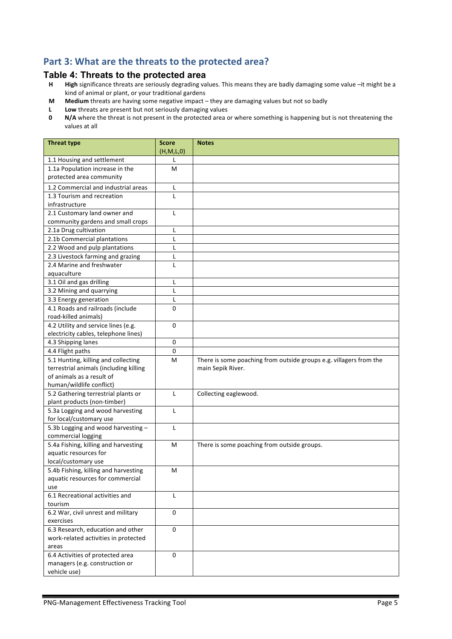# Part 3: What are the threats to the protected area?

# **Table 4: Threats to the protected area**<br>**H** High significance threats are seriously degrading va

- High significance threats are seriously degrading values. This means they are badly damaging some value -it might be a kind of animal or plant, or your traditional gardens
- **M** Medium threats are having some negative impact they are damaging values but not so badly
- **L** Low threats are present but not seriously damaging values<br>**0** N/A where the threat is not present in the protected area of
- **N/A** where the threat is not present in the protected area or where something is happening but is not threatening the values at all

| <b>Threat type</b>                                          | <b>Score</b><br>(H,M,L,0) | <b>Notes</b>                                                       |
|-------------------------------------------------------------|---------------------------|--------------------------------------------------------------------|
| 1.1 Housing and settlement                                  | L                         |                                                                    |
| 1.1a Population increase in the                             | М                         |                                                                    |
| protected area community                                    |                           |                                                                    |
| 1.2 Commercial and industrial areas                         | Г                         |                                                                    |
| 1.3 Tourism and recreation                                  | L                         |                                                                    |
| infrastructure                                              |                           |                                                                    |
| 2.1 Customary land owner and                                | L                         |                                                                    |
| community gardens and small crops                           |                           |                                                                    |
| 2.1a Drug cultivation                                       | L                         |                                                                    |
| 2.1b Commercial plantations                                 | L                         |                                                                    |
| 2.2 Wood and pulp plantations                               | L                         |                                                                    |
| 2.3 Livestock farming and grazing                           | Г                         |                                                                    |
| 2.4 Marine and freshwater                                   | L                         |                                                                    |
| aquaculture                                                 |                           |                                                                    |
| 3.1 Oil and gas drilling                                    | L                         |                                                                    |
| 3.2 Mining and quarrying                                    | L                         |                                                                    |
| 3.3 Energy generation                                       | L                         |                                                                    |
| 4.1 Roads and railroads (include                            | 0                         |                                                                    |
| road-killed animals)                                        |                           |                                                                    |
| 4.2 Utility and service lines (e.g.                         | $\Omega$                  |                                                                    |
| electricity cables, telephone lines)                        |                           |                                                                    |
| 4.3 Shipping lanes                                          | 0                         |                                                                    |
| 4.4 Flight paths                                            | 0                         |                                                                    |
| 5.1 Hunting, killing and collecting                         | M                         | There is some poaching from outside groups e.g. villagers from the |
| terrestrial animals (including killing                      |                           | main Sepik River.                                                  |
| of animals as a result of                                   |                           |                                                                    |
| human/wildlife conflict)                                    |                           |                                                                    |
| 5.2 Gathering terrestrial plants or                         | L                         | Collecting eaglewood.                                              |
| plant products (non-timber)                                 |                           |                                                                    |
| 5.3a Logging and wood harvesting                            | L                         |                                                                    |
| for local/customary use                                     |                           |                                                                    |
| 5.3b Logging and wood harvesting -                          | L                         |                                                                    |
| commercial logging                                          |                           |                                                                    |
| 5.4a Fishing, killing and harvesting                        | M                         | There is some poaching from outside groups.                        |
| aquatic resources for                                       |                           |                                                                    |
| local/customary use<br>5.4b Fishing, killing and harvesting | м                         |                                                                    |
| aquatic resources for commercial                            |                           |                                                                    |
| use                                                         |                           |                                                                    |
| 6.1 Recreational activities and                             | L                         |                                                                    |
| tourism                                                     |                           |                                                                    |
| 6.2 War, civil unrest and military                          | $\pmb{0}$                 |                                                                    |
| exercises                                                   |                           |                                                                    |
| 6.3 Research, education and other                           | $\mathbf 0$               |                                                                    |
| work-related activities in protected                        |                           |                                                                    |
| areas                                                       |                           |                                                                    |
| 6.4 Activities of protected area                            | $\mathbf 0$               |                                                                    |
| managers (e.g. construction or                              |                           |                                                                    |
| vehicle use)                                                |                           |                                                                    |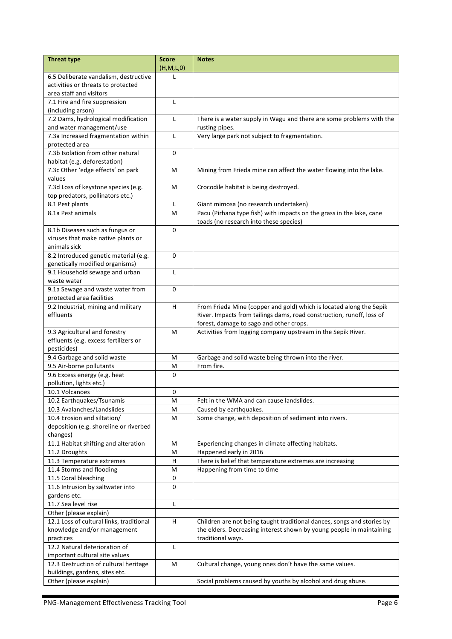| <b>Threat type</b>                       | <b>Score</b><br>(H,M,L,0) | <b>Notes</b>                                                           |
|------------------------------------------|---------------------------|------------------------------------------------------------------------|
| 6.5 Deliberate vandalism, destructive    | L                         |                                                                        |
| activities or threats to protected       |                           |                                                                        |
| area staff and visitors                  |                           |                                                                        |
| 7.1 Fire and fire suppression            | L                         |                                                                        |
| (including arson)                        |                           |                                                                        |
| 7.2 Dams, hydrological modification      | L                         | There is a water supply in Wagu and there are some problems with the   |
| and water management/use                 |                           | rusting pipes.                                                         |
| 7.3a Increased fragmentation within      | L                         | Very large park not subject to fragmentation.                          |
| protected area                           |                           |                                                                        |
| 7.3b Isolation from other natural        | 0                         |                                                                        |
| habitat (e.g. deforestation)             |                           |                                                                        |
| 7.3c Other 'edge effects' on park        | M                         | Mining from Frieda mine can affect the water flowing into the lake.    |
| values                                   |                           |                                                                        |
| 7.3d Loss of keystone species (e.g.      | M                         | Crocodile habitat is being destroyed.                                  |
| top predators, pollinators etc.)         |                           |                                                                        |
| 8.1 Pest plants                          | L                         | Giant mimosa (no research undertaken)                                  |
| 8.1a Pest animals                        | M                         | Pacu (Pirhana type fish) with impacts on the grass in the lake, cane   |
|                                          |                           | toads (no research into these species)                                 |
| 8.1b Diseases such as fungus or          | $\Omega$                  |                                                                        |
| viruses that make native plants or       |                           |                                                                        |
| animals sick                             |                           |                                                                        |
| 8.2 Introduced genetic material (e.g.    | 0                         |                                                                        |
| genetically modified organisms)          |                           |                                                                        |
| 9.1 Household sewage and urban           | L                         |                                                                        |
| waste water                              |                           |                                                                        |
| 9.1a Sewage and waste water from         | $\mathbf 0$               |                                                                        |
| protected area facilities                |                           |                                                                        |
| 9.2 Industrial, mining and military      | H                         | From Frieda Mine (copper and gold) which is located along the Sepik    |
| effluents                                |                           | River. Impacts from tailings dams, road construction, runoff, loss of  |
|                                          |                           | forest, damage to sago and other crops.                                |
| 9.3 Agricultural and forestry            | м                         | Activities from logging company upstream in the Sepik River.           |
| effluents (e.g. excess fertilizers or    |                           |                                                                        |
| pesticides)                              |                           |                                                                        |
| 9.4 Garbage and solid waste              | M                         | Garbage and solid waste being thrown into the river.                   |
| 9.5 Air-borne pollutants                 | M                         | From fire.                                                             |
| 9.6 Excess energy (e.g. heat             | $\mathbf 0$               |                                                                        |
| pollution, lights etc.)                  |                           |                                                                        |
| 10.1 Volcanoes                           | 0                         |                                                                        |
| 10.2 Earthquakes/Tsunamis                | M                         | Felt in the WMA and can cause landslides.                              |
| 10.3 Avalanches/Landslides               | M                         | Caused by earthquakes.                                                 |
| 10.4 Erosion and siltation/              | M                         | Some change, with deposition of sediment into rivers.                  |
| deposition (e.g. shoreline or riverbed   |                           |                                                                        |
| changes)                                 |                           |                                                                        |
| 11.1 Habitat shifting and alteration     | M                         | Experiencing changes in climate affecting habitats.                    |
| 11.2 Droughts                            | M                         | Happened early in 2016                                                 |
| 11.3 Temperature extremes                | H                         | There is belief that temperature extremes are increasing               |
| 11.4 Storms and flooding                 | M                         | Happening from time to time                                            |
| 11.5 Coral bleaching                     | 0                         |                                                                        |
| 11.6 Intrusion by saltwater into         | 0                         |                                                                        |
| gardens etc.                             |                           |                                                                        |
| 11.7 Sea level rise                      | Г                         |                                                                        |
| Other (please explain)                   |                           |                                                                        |
| 12.1 Loss of cultural links, traditional | H                         | Children are not being taught traditional dances, songs and stories by |
| knowledge and/or management              |                           | the elders. Decreasing interest shown by young people in maintaining   |
| practices                                |                           | traditional ways.                                                      |
| 12.2 Natural deterioration of            | L                         |                                                                        |
| important cultural site values           |                           |                                                                        |
| 12.3 Destruction of cultural heritage    | M                         | Cultural change, young ones don't have the same values.                |
| buildings, gardens, sites etc.           |                           |                                                                        |
| Other (please explain)                   |                           | Social problems caused by youths by alcohol and drug abuse.            |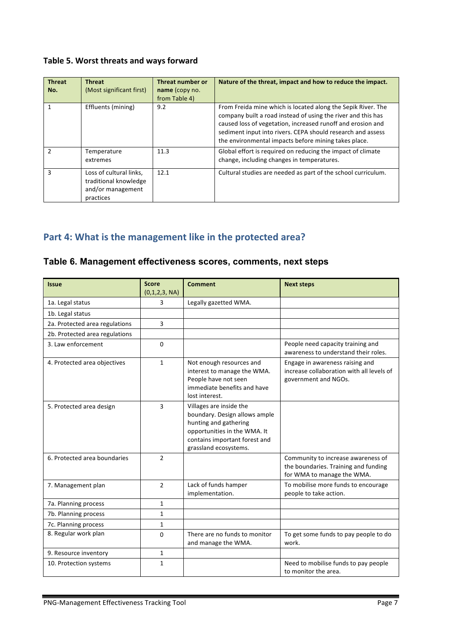### Table 5. Worst threats and ways forward

| <b>Threat</b><br>No. | <b>Threat</b><br>(Most significant first)                                          | Threat number or<br>name (copy no.<br>from Table 4) | Nature of the threat, impact and how to reduce the impact.                                                                                                                                                                                                                                                         |
|----------------------|------------------------------------------------------------------------------------|-----------------------------------------------------|--------------------------------------------------------------------------------------------------------------------------------------------------------------------------------------------------------------------------------------------------------------------------------------------------------------------|
|                      | Effluents (mining)                                                                 | 9.2                                                 | From Freida mine which is located along the Sepik River. The<br>company built a road instead of using the river and this has<br>caused loss of vegetation, increased runoff and erosion and<br>sediment input into rivers. CEPA should research and assess<br>the environmental impacts before mining takes place. |
| $\mathfrak{p}$       | Temperature<br>extremes                                                            | 11.3                                                | Global effort is required on reducing the impact of climate<br>change, including changes in temperatures.                                                                                                                                                                                                          |
| 3                    | Loss of cultural links,<br>traditional knowledge<br>and/or management<br>practices | 12.1                                                | Cultural studies are needed as part of the school curriculum.                                                                                                                                                                                                                                                      |

## Part 4: What is the management like in the protected area?

#### **Table 6. Management effectiveness scores, comments, next steps**

| <b>Issue</b>                   | <b>Score</b><br>(0,1,2,3, NA) | <b>Comment</b>                                                                                                                                                              | <b>Next steps</b>                                                                                        |
|--------------------------------|-------------------------------|-----------------------------------------------------------------------------------------------------------------------------------------------------------------------------|----------------------------------------------------------------------------------------------------------|
| 1a. Legal status               | 3                             | Legally gazetted WMA.                                                                                                                                                       |                                                                                                          |
| 1b. Legal status               |                               |                                                                                                                                                                             |                                                                                                          |
| 2a. Protected area regulations | 3                             |                                                                                                                                                                             |                                                                                                          |
| 2b. Protected area regulations |                               |                                                                                                                                                                             |                                                                                                          |
| 3. Law enforcement             | $\Omega$                      |                                                                                                                                                                             | People need capacity training and<br>awareness to understand their roles.                                |
| 4. Protected area objectives   | $\mathbf{1}$                  | Not enough resources and<br>interest to manage the WMA.<br>People have not seen<br>immediate benefits and have<br>lost interest.                                            | Engage in awareness raising and<br>increase collaboration with all levels of<br>government and NGOs.     |
| 5. Protected area design       | 3                             | Villages are inside the<br>boundary. Design allows ample<br>hunting and gathering<br>opportunities in the WMA. It<br>contains important forest and<br>grassland ecosystems. |                                                                                                          |
| 6. Protected area boundaries   | $\overline{2}$                |                                                                                                                                                                             | Community to increase awareness of<br>the boundaries. Training and funding<br>for WMA to manage the WMA. |
| 7. Management plan             | $\mathcal{P}$                 | Lack of funds hamper<br>implementation.                                                                                                                                     | To mobilise more funds to encourage<br>people to take action.                                            |
| 7a. Planning process           | $\mathbf{1}$                  |                                                                                                                                                                             |                                                                                                          |
| 7b. Planning process           | $\mathbf{1}$                  |                                                                                                                                                                             |                                                                                                          |
| 7c. Planning process           | $\mathbf{1}$                  |                                                                                                                                                                             |                                                                                                          |
| 8. Regular work plan           | $\Omega$                      | There are no funds to monitor<br>and manage the WMA.                                                                                                                        | To get some funds to pay people to do<br>work.                                                           |
| 9. Resource inventory          | $\mathbf{1}$                  |                                                                                                                                                                             |                                                                                                          |
| 10. Protection systems         | $\mathbf{1}$                  |                                                                                                                                                                             | Need to mobilise funds to pay people<br>to monitor the area.                                             |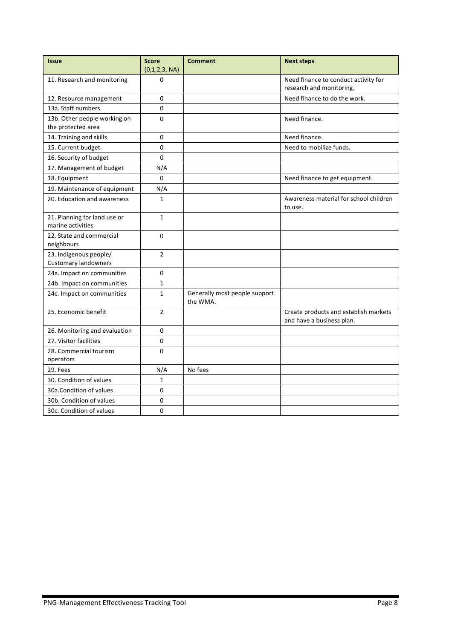| <b>Issue</b>                                          | <b>Score</b><br>(0,1,2,3, NA) | <b>Comment</b>                            | <b>Next steps</b>                                                  |
|-------------------------------------------------------|-------------------------------|-------------------------------------------|--------------------------------------------------------------------|
| 11. Research and monitoring                           | 0                             |                                           | Need finance to conduct activity for<br>research and monitoring.   |
| 12. Resource management                               | 0                             |                                           | Need finance to do the work.                                       |
| 13a. Staff numbers                                    | 0                             |                                           |                                                                    |
| 13b. Other people working on<br>the protected area    | $\Omega$                      |                                           | Need finance.                                                      |
| 14. Training and skills                               | 0                             |                                           | Need finance.                                                      |
| 15. Current budget                                    | 0                             |                                           | Need to mobilize funds.                                            |
| 16. Security of budget                                | $\Omega$                      |                                           |                                                                    |
| 17. Management of budget                              | N/A                           |                                           |                                                                    |
| 18. Equipment                                         | 0                             |                                           | Need finance to get equipment.                                     |
| 19. Maintenance of equipment                          | N/A                           |                                           |                                                                    |
| 20. Education and awareness                           | 1                             |                                           | Awareness material for school children<br>to use.                  |
| 21. Planning for land use or<br>marine activities     | $\mathbf{1}$                  |                                           |                                                                    |
| 22. State and commercial<br>neighbours                | 0                             |                                           |                                                                    |
| 23. Indigenous people/<br><b>Customary landowners</b> | $\overline{2}$                |                                           |                                                                    |
| 24a. Impact on communities                            | 0                             |                                           |                                                                    |
| 24b. Impact on communities                            | 1                             |                                           |                                                                    |
| 24c. Impact on communities                            | $\mathbf{1}$                  | Generally most people support<br>the WMA. |                                                                    |
| 25. Economic benefit                                  | $\overline{2}$                |                                           | Create products and establish markets<br>and have a business plan. |
| 26. Monitoring and evaluation                         | 0                             |                                           |                                                                    |
| 27. Visitor facilities                                | 0                             |                                           |                                                                    |
| 28. Commercial tourism<br>operators                   | 0                             |                                           |                                                                    |
| 29. Fees                                              | N/A                           | No fees                                   |                                                                    |
| 30. Condition of values                               | 1                             |                                           |                                                                    |
| 30a. Condition of values                              | 0                             |                                           |                                                                    |
| 30b. Condition of values                              | 0                             |                                           |                                                                    |
| 30c. Condition of values                              | 0                             |                                           |                                                                    |